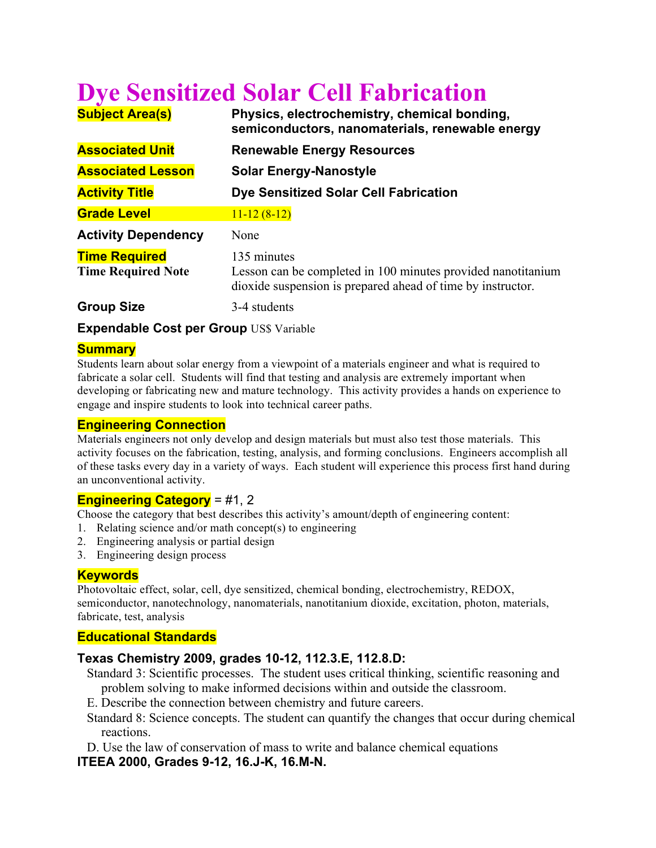# **Dye Sensitized Solar Cell Fabrication**

| <b>Subject Area(s)</b>                            | Physics, electrochemistry, chemical bonding,<br>semiconductors, nanomaterials, renewable energy                                            |
|---------------------------------------------------|--------------------------------------------------------------------------------------------------------------------------------------------|
| <b>Associated Unit</b>                            | <b>Renewable Energy Resources</b>                                                                                                          |
| <b>Associated Lesson</b>                          | <b>Solar Energy-Nanostyle</b>                                                                                                              |
| <b>Activity Title</b>                             | Dye Sensitized Solar Cell Fabrication                                                                                                      |
| <b>Grade Level</b>                                | $11 - 12(8 - 12)$                                                                                                                          |
| <b>Activity Dependency</b>                        | None                                                                                                                                       |
| <b>Time Required</b><br><b>Time Required Note</b> | 135 minutes<br>Lesson can be completed in 100 minutes provided nanotitanium<br>dioxide suspension is prepared ahead of time by instructor. |
| <b>Group Size</b>                                 | 3-4 students                                                                                                                               |

**Expendable Cost per Group US\$ Variable** 

## **Summary**

Students learn about solar energy from a viewpoint of a materials engineer and what is required to fabricate a solar cell. Students will find that testing and analysis are extremely important when developing or fabricating new and mature technology. This activity provides a hands on experience to engage and inspire students to look into technical career paths.

#### **Engineering Connection**

Materials engineers not only develop and design materials but must also test those materials. This activity focuses on the fabrication, testing, analysis, and forming conclusions. Engineers accomplish all of these tasks every day in a variety of ways. Each student will experience this process first hand during an unconventional activity.

# **Engineering Category** = #1, 2

Choose the category that best describes this activity's amount/depth of engineering content:

- 1. Relating science and/or math concept(s) to engineering
- 2. Engineering analysis or partial design
- 3. Engineering design process

# **Keywords**

Photovoltaic effect, solar, cell, dye sensitized, chemical bonding, electrochemistry, REDOX, semiconductor, nanotechnology, nanomaterials, nanotitanium dioxide, excitation, photon, materials, fabricate, test, analysis

# **Educational Standards**

# **Texas Chemistry 2009, grades 10-12, 112.3.E, 112.8.D:**

- Standard 3: Scientific processes. The student uses critical thinking, scientific reasoning and problem solving to make informed decisions within and outside the classroom.
- E. Describe the connection between chemistry and future careers.
- Standard 8: Science concepts. The student can quantify the changes that occur during chemical reactions.
- D. Use the law of conservation of mass to write and balance chemical equations

# **ITEEA 2000, Grades 9-12, 16.J-K, 16.M-N.**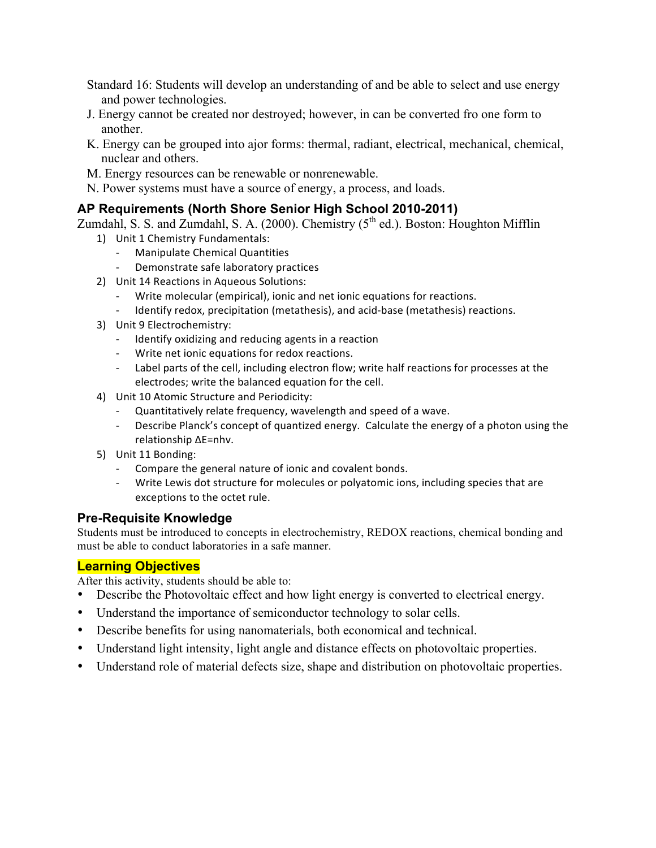Standard 16: Students will develop an understanding of and be able to select and use energy and power technologies.

- J. Energy cannot be created nor destroyed; however, in can be converted fro one form to another.
- K. Energy can be grouped into ajor forms: thermal, radiant, electrical, mechanical, chemical, nuclear and others.
- M. Energy resources can be renewable or nonrenewable.
- N. Power systems must have a source of energy, a process, and loads.

# **AP Requirements (North Shore Senior High School 2010-2011)**

Zumdahl, S. S. and Zumdahl, S. A. (2000). Chemistry  $(5<sup>th</sup>$  ed.). Boston: Houghton Mifflin

- 1) Unit 1 Chemistry Fundamentals:
	- Manipulate Chemical Quantities
	- Demonstrate safe laboratory practices
- 2) Unit 14 Reactions in Aqueous Solutions:
	- Write molecular (empirical), ionic and net ionic equations for reactions.
	- Identify redox, precipitation (metathesis), and acid-base (metathesis) reactions.
- 3) Unit 9 Electrochemistry:
	- Identify oxidizing and reducing agents in a reaction
	- Write net ionic equations for redox reactions.
	- Label parts of the cell, including electron flow; write half reactions for processes at the electrodes; write the balanced equation for the cell.
- 4) Unit 10 Atomic Structure and Periodicity:
	- Quantitatively relate frequency, wavelength and speed of a wave.
	- Describe Planck's concept of quantized energy. Calculate the energy of a photon using the relationship ΔE=nhν.
- 5) Unit 11 Bonding:
	- Compare the general nature of ionic and covalent bonds.
	- Write Lewis dot structure for molecules or polyatomic ions, including species that are exceptions to the octet rule.

# **Pre-Requisite Knowledge**

Students must be introduced to concepts in electrochemistry, REDOX reactions, chemical bonding and must be able to conduct laboratories in a safe manner.

# **Learning Objectives**

After this activity, students should be able to:

- Describe the Photovoltaic effect and how light energy is converted to electrical energy.
- Understand the importance of semiconductor technology to solar cells.
- Describe benefits for using nanomaterials, both economical and technical.
- Understand light intensity, light angle and distance effects on photovoltaic properties.
- Understand role of material defects size, shape and distribution on photovoltaic properties.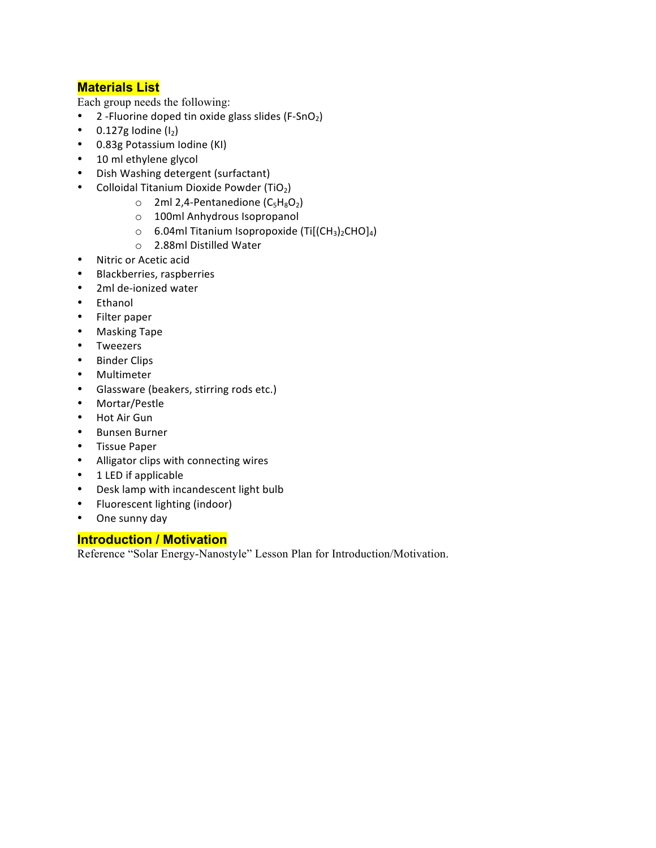# **Materials List**

Each group needs the following:

- 2-Fluorine doped tin oxide glass slides (F-SnO<sub>2</sub>)
- 0.127g Iodine $(I_2)$
- 0.83g Potassium Iodine (KI)
- 10 ml ethylene glycol
- Dish Washing detergent (surfactant)
- Colloidal Titanium Dioxide Powder (TiO<sub>2</sub>)
	- $\circ$  2ml 2,4-Pentanedione (C<sub>5</sub>H<sub>8</sub>O<sub>2</sub>)
	- o 100ml Anhydrous Isopropanol
	- $\circ$  6.04ml Titanium Isopropoxide (Ti[(CH<sub>3</sub>)<sub>2</sub>CHO]<sub>4</sub>)
	- o 2.88ml Distilled Water
- Nitric or Acetic acid
- Blackberries, raspberries
- 2ml de-ionized water
- Ethanol
- Filter paper
- Masking Tape
- Tweezers
- Binder Clips
- Multimeter
- Glassware (beakers, stirring rods etc.)
- Mortar/Pestle
- Hot Air Gun
- Bunsen Burner
- Tissue Paper
- Alligator clips with connecting wires
- 1 LED if applicable
- Desk lamp with incandescent light bulb
- Fluorescent lighting (indoor)
- One sunny day

#### **Introduction / Motivation**

Reference "Solar Energy-Nanostyle" Lesson Plan for Introduction/Motivation.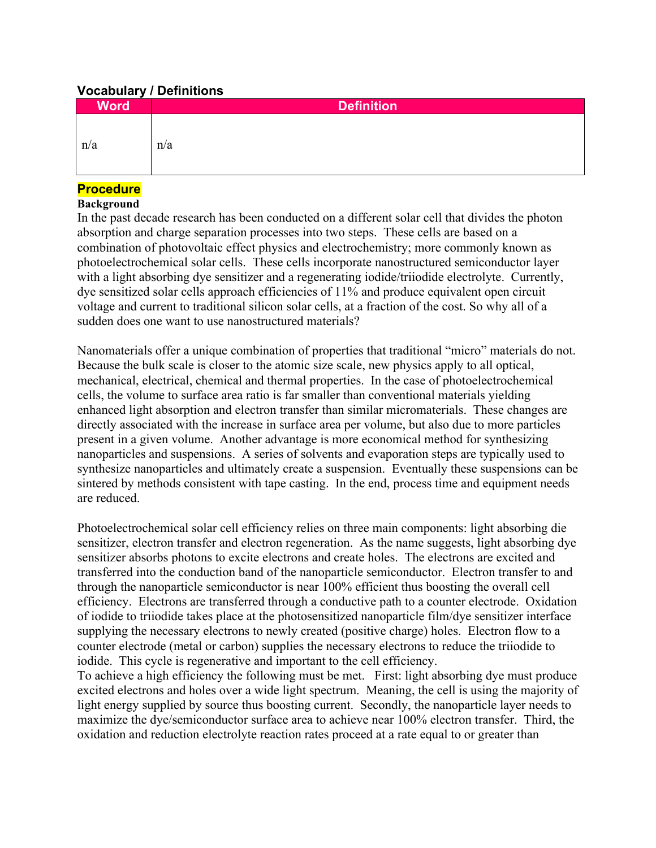## **Vocabulary / Definitions**

| <b>Word</b> | <b>Definition</b> |
|-------------|-------------------|
| n/a         | n/a               |

## **Procedure**

#### **Background**

In the past decade research has been conducted on a different solar cell that divides the photon absorption and charge separation processes into two steps. These cells are based on a combination of photovoltaic effect physics and electrochemistry; more commonly known as photoelectrochemical solar cells. These cells incorporate nanostructured semiconductor layer with a light absorbing dye sensitizer and a regenerating iodide/triiodide electrolyte. Currently, dye sensitized solar cells approach efficiencies of 11% and produce equivalent open circuit voltage and current to traditional silicon solar cells, at a fraction of the cost. So why all of a sudden does one want to use nanostructured materials?

Nanomaterials offer a unique combination of properties that traditional "micro" materials do not. Because the bulk scale is closer to the atomic size scale, new physics apply to all optical, mechanical, electrical, chemical and thermal properties. In the case of photoelectrochemical cells, the volume to surface area ratio is far smaller than conventional materials yielding enhanced light absorption and electron transfer than similar micromaterials. These changes are directly associated with the increase in surface area per volume, but also due to more particles present in a given volume. Another advantage is more economical method for synthesizing nanoparticles and suspensions. A series of solvents and evaporation steps are typically used to synthesize nanoparticles and ultimately create a suspension. Eventually these suspensions can be sintered by methods consistent with tape casting. In the end, process time and equipment needs are reduced.

Photoelectrochemical solar cell efficiency relies on three main components: light absorbing die sensitizer, electron transfer and electron regeneration. As the name suggests, light absorbing dye sensitizer absorbs photons to excite electrons and create holes. The electrons are excited and transferred into the conduction band of the nanoparticle semiconductor. Electron transfer to and through the nanoparticle semiconductor is near 100% efficient thus boosting the overall cell efficiency. Electrons are transferred through a conductive path to a counter electrode. Oxidation of iodide to triiodide takes place at the photosensitized nanoparticle film/dye sensitizer interface supplying the necessary electrons to newly created (positive charge) holes. Electron flow to a counter electrode (metal or carbon) supplies the necessary electrons to reduce the triiodide to iodide. This cycle is regenerative and important to the cell efficiency.

To achieve a high efficiency the following must be met. First: light absorbing dye must produce excited electrons and holes over a wide light spectrum. Meaning, the cell is using the majority of light energy supplied by source thus boosting current. Secondly, the nanoparticle layer needs to maximize the dye/semiconductor surface area to achieve near 100% electron transfer. Third, the oxidation and reduction electrolyte reaction rates proceed at a rate equal to or greater than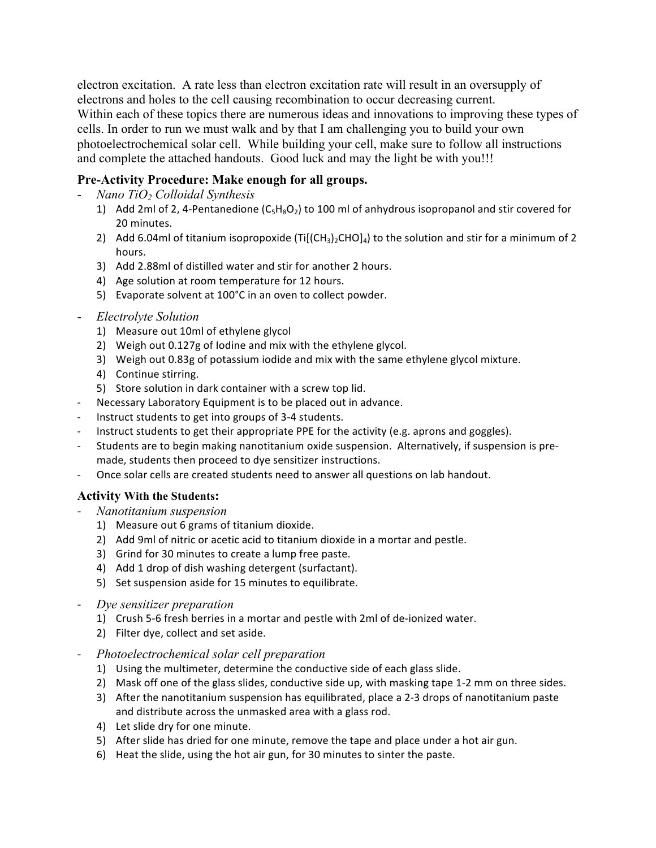electron excitation. A rate less than electron excitation rate will result in an oversupply of electrons and holes to the cell causing recombination to occur decreasing current. Within each of these topics there are numerous ideas and innovations to improving these types of cells. In order to run we must walk and by that I am challenging you to build your own photoelectrochemical solar cell. While building your cell, make sure to follow all instructions and complete the attached handouts. Good luck and may the light be with you!!!

# **Pre-Activity Procedure: Make enough for all groups.**

- *Nano TiO2 Colloidal Synthesis*
	- 1) Add 2ml of 2, 4-Pentanedione  $(C_5H_8O_2)$  to 100 ml of anhydrous isopropanol and stir covered for 20 minutes.
	- 2) Add 6.04ml of titanium isopropoxide (Ti[(CH<sub>3</sub>)<sub>2</sub>CHO]<sub>4</sub>) to the solution and stir for a minimum of 2 hours.
	- 3) Add 2.88ml of distilled water and stir for another 2 hours.
	- 4) Age solution at room temperature for 12 hours.
	- 5) Evaporate solvent at 100°C in an oven to collect powder.
- *Electrolyte Solution*
	- 1) Measure out 10ml of ethylene glycol
	- 2) Weigh out 0.127g of Iodine and mix with the ethylene glycol.
	- 3) Weigh out 0.83g of potassium iodide and mix with the same ethylene glycol mixture.
	- 4) Continue stirring.
	- 5) Store solution in dark container with a screw top lid.
- Necessary Laboratory Equipment is to be placed out in advance.
- Instruct students to get into groups of 3-4 students.
- Instruct students to get their appropriate PPE for the activity (e.g. aprons and goggles).
- Students are to begin making nanotitanium oxide suspension. Alternatively, if suspension is premade, students then proceed to dye sensitizer instructions.
- Once solar cells are created students need to answer all questions on lab handout.

# **Activity With the Students:**

- 5 *Nanotitanium suspension*
	- 1) Measure out 6 grams of titanium dioxide.
	- 2) Add 9ml of nitric or acetic acid to titanium dioxide in a mortar and pestle.
	- 3) Grind for 30 minutes to create a lump free paste.
	- 4) Add 1 drop of dish washing detergent (surfactant).
	- 5) Set suspension aside for 15 minutes to equilibrate.
- 5 *Dye sensitizer preparation*
	- 1) Crush 5-6 fresh berries in a mortar and pestle with 2ml of de-ionized water.
	- 2) Filter dye, collect and set aside.
- 5 *Photoelectrochemical solar cell preparation*
	- 1) Using the multimeter, determine the conductive side of each glass slide.
	- 2) Mask off one of the glass slides, conductive side up, with masking tape 1-2 mm on three sides.
	- 3) After the nanotitanium suspension has equilibrated, place a 2-3 drops of nanotitanium paste and distribute across the unmasked area with a glass rod.
	- 4) Let slide dry for one minute.
	- 5) After slide has dried for one minute, remove the tape and place under a hot air gun.
	- 6) Heat the slide, using the hot air gun, for 30 minutes to sinter the paste.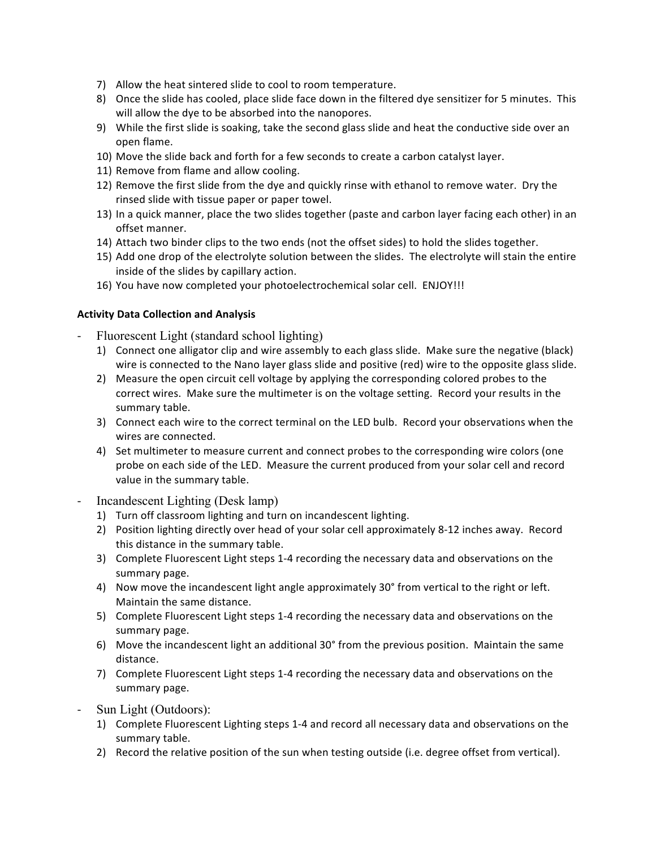- 7) Allow the heat sintered slide to cool to room temperature.
- 8) Once the slide has cooled, place slide face down in the filtered dye sensitizer for 5 minutes. This will allow the dye to be absorbed into the nanopores.
- 9) While the first slide is soaking, take the second glass slide and heat the conductive side over an open'flame.
- 10) Move the slide back and forth for a few seconds to create a carbon catalyst layer.
- 11) Remove from flame and allow cooling.
- 12) Remove the first slide from the dye and quickly rinse with ethanol to remove water. Dry the rinsed slide with tissue paper or paper towel.
- 13) In a quick manner, place the two slides together (paste and carbon layer facing each other) in an offset manner.
- 14) Attach two binder clips to the two ends (not the offset sides) to hold the slides together.
- 15) Add one drop of the electrolyte solution between the slides. The electrolyte will stain the entire inside of the slides by capillary action.
- 16) You have now completed your photoelectrochemical solar cell. ENJOY!!!

#### **Activity Data Collection and Analysis**

- 5 Fluorescent Light (standard school lighting)
	- 1) Connect one alligator clip and wire assembly to each glass slide. Make sure the negative (black) wire is connected to the Nano layer glass slide and positive (red) wire to the opposite glass slide.
	- 2) Measure the open circuit cell voltage by applying the corresponding colored probes to the correct wires. Make sure the multimeter is on the voltage setting. Record your results in the summary table.
	- 3) Connect each wire to the correct terminal on the LED bulb. Record your observations when the wires are connected.
	- 4) Set multimeter to measure current and connect probes to the corresponding wire colors (one probe on each side of the LED. Measure the current produced from your solar cell and record value in the summary table.
- 5 Incandescent Lighting (Desk lamp)
	- 1) Turn off classroom lighting and turn on incandescent lighting.
	- 2) Position lighting directly over head of your solar cell approximately 8-12 inches away. Record this distance in the summary table.
	- 3) Complete Fluorescent Light steps 1-4 recording the necessary data and observations on the summary page.
	- 4) Now move the incandescent light angle approximately 30° from vertical to the right or left. Maintain the same distance.
	- 5) Complete Fluorescent Light steps 1-4 recording the necessary data and observations on the summary page.
	- 6) Move the incandescent light an additional 30° from the previous position. Maintain the same distance.
	- 7) Complete Fluorescent Light steps 1-4 recording the necessary data and observations on the summary page.
- Sun Light (Outdoors):
	- 1) Complete Fluorescent Lighting steps 1-4 and record all necessary data and observations on the summary table.
	- 2) Record the relative position of the sun when testing outside (i.e. degree offset from vertical).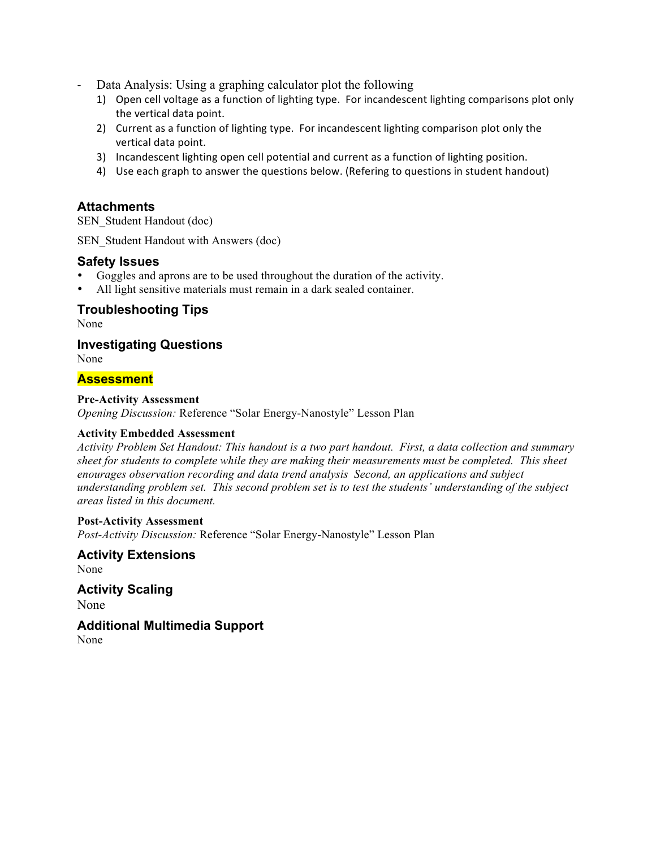- Data Analysis: Using a graphing calculator plot the following
	- 1) Open cell voltage as a function of lighting type. For incandescent lighting comparisons plot only the vertical data point.
	- 2) Current as a function of lighting type. For incandescent lighting comparison plot only the vertical data point.
	- 3) Incandescent lighting open cell potential and current as a function of lighting position.
	- 4) Use each graph to answer the questions below. (Refering to questions in student handout)

## **Attachments**

SEN\_Student Handout (doc)

SEN Student Handout with Answers (doc)

#### **Safety Issues**

- Goggles and aprons are to be used throughout the duration of the activity.
- All light sensitive materials must remain in a dark sealed container.

# **Troubleshooting Tips**

None

**Investigating Questions**

None

## **Assessment**

#### **Pre-Activity Assessment**

*Opening Discussion:* Reference "Solar Energy-Nanostyle" Lesson Plan

#### **Activity Embedded Assessment**

*Activity Problem Set Handout: This handout is a two part handout. First, a data collection and summary sheet for students to complete while they are making their measurements must be completed. This sheet enourages observation recording and data trend analysis Second, an applications and subject understanding problem set. This second problem set is to test the students' understanding of the subject areas listed in this document.* 

#### **Post-Activity Assessment**

*Post-Activity Discussion:* Reference "Solar Energy-Nanostyle" Lesson Plan

**Activity Extensions** None

**Activity Scaling** None

**Additional Multimedia Support** None